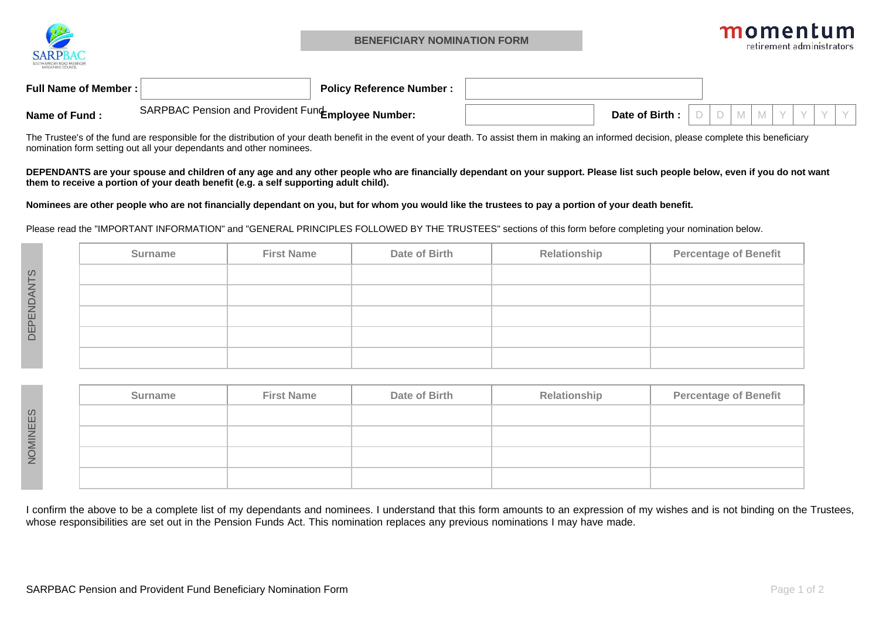

| <b>Full Name of Member:</b> |                                                    | <sup>,</sup> Reference Number :<br>Policv |               |  |  |  |  |
|-----------------------------|----------------------------------------------------|-------------------------------------------|---------------|--|--|--|--|
| Name of Fund                | SARPBAC Pension and Provident Fund Employee Number |                                           | Date of Birth |  |  |  |  |

The Trustee's of the fund are responsible for the distribution of your death benefit in the event of your death. To assist them in making an informed decision, please complete this beneficiarynomination form setting out all your dependants and other nominees.

**DEPENDANTS are your spouse and children of any age and any other people who are financially dependant on your support. Please list such people below, even if you do not wantthem to receive a portion of your death benefit (e.g. a self supporting adult child).**

**Nominees are other people who are not financially dependant on you, but for whom you would like the trustees to pay a portion of your death benefit.**

Please read the "IMPORTANT INFORMATION" and "GENERAL PRINCIPLES FOLLOWED BY THE TRUSTEES" sections of this form before completing your nomination below.

|             | Surname | <b>First Name</b> | Date of Birth | Relationship | <b>Percentage of Benefit</b> |
|-------------|---------|-------------------|---------------|--------------|------------------------------|
| <b>ANTS</b> |         |                   |               |              |                              |
|             |         |                   |               |              |                              |
| DEPEND      |         |                   |               |              |                              |
|             |         |                   |               |              |                              |
|             |         |                   |               |              |                              |

| Surname | <b>First Name</b> | Date of Birth | Relationship | <b>Percentage of Benefit</b> |
|---------|-------------------|---------------|--------------|------------------------------|
|         |                   |               |              |                              |
|         |                   |               |              |                              |
|         |                   |               |              |                              |
|         |                   |               |              |                              |

I confirm the above to be a complete list of my dependants and nominees. I understand that this form amounts to an expression of my wishes and is not binding on the Trustees, whose responsibilities are set out in the Pension Funds Act. This nomination replaces any previous nominations I may have made.